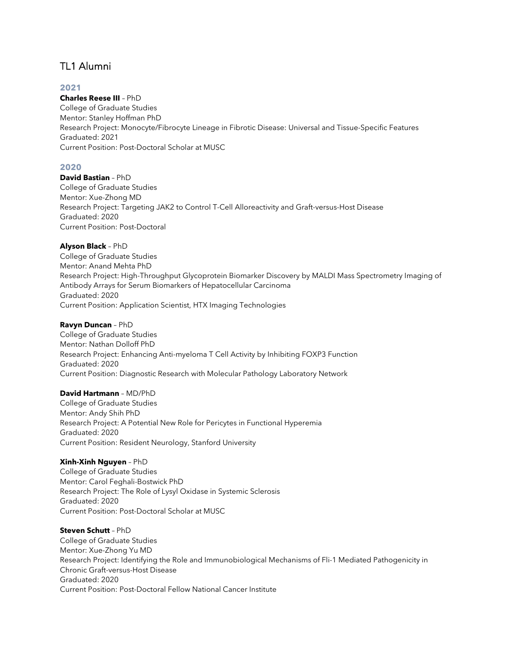# TL1 Alumni

# **2021**

### **Charles Reese III** – PhD

College of Graduate Studies Mentor: Stanley Hoffman PhD Research Project: Monocyte/Fibrocyte Lineage in Fibrotic Disease: Universal and Tissue-Specific Features Graduated: 2021 Current Position: Post-Doctoral Scholar at MUSC

## **2020**

**David Bastian** – PhD College of Graduate Studies Mentor: Xue-Zhong MD Research Project: Targeting JAK2 to Control T-Cell Alloreactivity and Graft-versus-Host Disease Graduated: 2020 Current Position: Post-Doctoral

### **Alyson Black** – PhD

College of Graduate Studies Mentor: Anand Mehta PhD Research Project: High-Throughput Glycoprotein Biomarker Discovery by MALDI Mass Spectrometry Imaging of Antibody Arrays for Serum Biomarkers of Hepatocellular Carcinoma Graduated: 2020 Current Position: Application Scientist, HTX Imaging Technologies

### **Ravyn Duncan** – PhD

College of Graduate Studies Mentor: Nathan Dolloff PhD Research Project: Enhancing Anti-myeloma T Cell Activity by Inhibiting FOXP3 Function Graduated: 2020 Current Position: Diagnostic Research with Molecular Pathology Laboratory Network

# **David Hartmann** – MD/PhD

College of Graduate Studies Mentor: Andy Shih PhD Research Project: A Potential New Role for Pericytes in Functional Hyperemia Graduated: 2020 Current Position: Resident Neurology, Stanford University

# **Xinh-Xinh Nguyen** – PhD

College of Graduate Studies Mentor: Carol Feghali-Bostwick PhD Research Project: The Role of Lysyl Oxidase in Systemic Sclerosis Graduated: 2020 Current Position: Post-Doctoral Scholar at MUSC

### **Steven Schutt** – PhD

College of Graduate Studies Mentor: Xue-Zhong Yu MD Research Project: Identifying the Role and Immunobiological Mechanisms of Fli-1 Mediated Pathogenicity in Chronic Graft-versus-Host Disease Graduated: 2020 Current Position: Post-Doctoral Fellow National Cancer Institute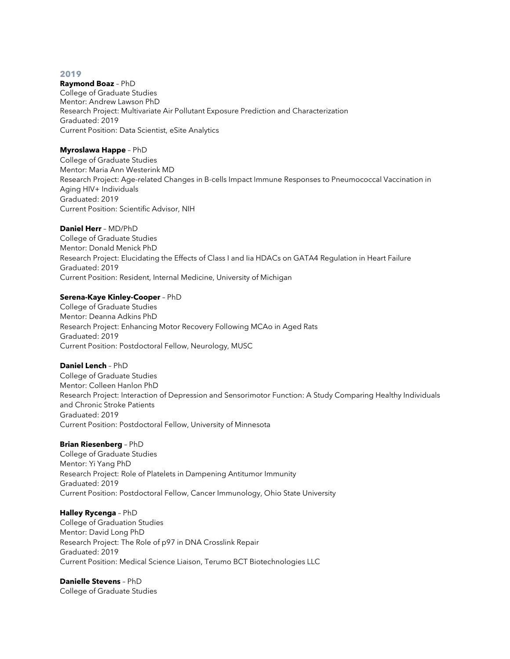#### **2019**

#### **Raymond Boaz** – PhD

College of Graduate Studies Mentor: Andrew Lawson PhD Research Project: Multivariate Air Pollutant Exposure Prediction and Characterization Graduated: 2019 Current Position: Data Scientist, eSite Analytics

### **Myroslawa Happe** – PhD

College of Graduate Studies Mentor: Maria Ann Westerink MD Research Project: Age-related Changes in B-cells Impact Immune Responses to Pneumococcal Vaccination in Aging HIV+ Individuals Graduated: 2019 Current Position: Scientific Advisor, NIH

### **Daniel Herr** – MD/PhD

College of Graduate Studies Mentor: Donald Menick PhD Research Project: Elucidating the Effects of Class I and Iia HDACs on GATA4 Regulation in Heart Failure Graduated: 2019 Current Position: Resident, Internal Medicine, University of Michigan

### **Serena-Kaye Kinley-Cooper** – PhD

College of Graduate Studies Mentor: Deanna Adkins PhD Research Project: Enhancing Motor Recovery Following MCAo in Aged Rats Graduated: 2019 Current Position: Postdoctoral Fellow, Neurology, MUSC

### **Daniel Lench** – PhD

College of Graduate Studies Mentor: Colleen Hanlon PhD Research Project: Interaction of Depression and Sensorimotor Function: A Study Comparing Healthy Individuals and Chronic Stroke Patients Graduated: 2019 Current Position: Postdoctoral Fellow, University of Minnesota

# **Brian Riesenberg** – PhD

College of Graduate Studies Mentor: Yi Yang PhD Research Project: Role of Platelets in Dampening Antitumor Immunity Graduated: 2019 Current Position: Postdoctoral Fellow, Cancer Immunology, Ohio State University

### **Halley Rycenga** – PhD

College of Graduation Studies Mentor: David Long PhD Research Project: The Role of p97 in DNA Crosslink Repair Graduated: 2019 Current Position: Medical Science Liaison, Terumo BCT Biotechnologies LLC

# **Danielle Stevens** – PhD

College of Graduate Studies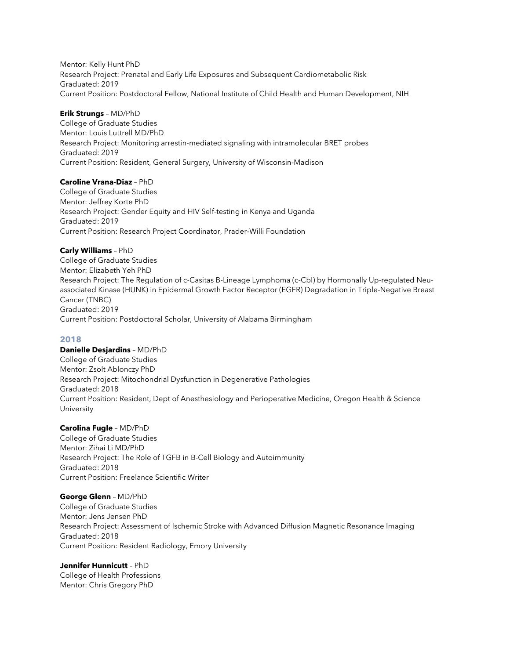Mentor: Kelly Hunt PhD Research Project: Prenatal and Early Life Exposures and Subsequent Cardiometabolic Risk Graduated: 2019 Current Position: Postdoctoral Fellow, National Institute of Child Health and Human Development, NIH

## **Erik Strungs** – MD/PhD

College of Graduate Studies Mentor: Louis Luttrell MD/PhD Research Project: Monitoring arrestin-mediated signaling with intramolecular BRET probes Graduated: 2019 Current Position: Resident, General Surgery, University of Wisconsin-Madison

### **Caroline Vrana-Diaz** – PhD

College of Graduate Studies Mentor: Jeffrey Korte PhD Research Project: Gender Equity and HIV Self-testing in Kenya and Uganda Graduated: 2019 Current Position: Research Project Coordinator, Prader-Willi Foundation

### **Carly Williams** – PhD

College of Graduate Studies Mentor: Elizabeth Yeh PhD Research Project: The Regulation of c-Casitas B-Lineage Lymphoma (c-Cbl) by Hormonally Up-regulated Neuassociated Kinase (HUNK) in Epidermal Growth Factor Receptor (EGFR) Degradation in Triple-Negative Breast Cancer (TNBC) Graduated: 2019 Current Position: Postdoctoral Scholar, University of Alabama Birmingham

### **2018**

### **Danielle Desjardins** – MD/PhD

College of Graduate Studies Mentor: Zsolt Ablonczy PhD Research Project: Mitochondrial Dysfunction in Degenerative Pathologies Graduated: 2018 Current Position: Resident, Dept of Anesthesiology and Perioperative Medicine, Oregon Health & Science University

# **Carolina Fugle** – MD/PhD

College of Graduate Studies Mentor: Zihai Li MD/PhD Research Project: The Role of TGFB in B-Cell Biology and Autoimmunity Graduated: 2018 Current Position: Freelance Scientific Writer

### **George Glenn** – MD/PhD

College of Graduate Studies Mentor: Jens Jensen PhD Research Project: Assessment of Ischemic Stroke with Advanced Diffusion Magnetic Resonance Imaging Graduated: 2018 Current Position: Resident Radiology, Emory University

### **Jennifer Hunnicutt** – PhD

College of Health Professions Mentor: Chris Gregory PhD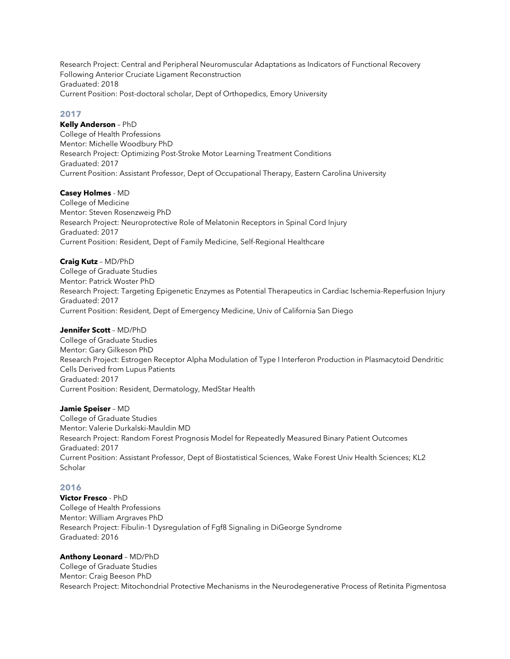Research Project: Central and Peripheral Neuromuscular Adaptations as Indicators of Functional Recovery Following Anterior Cruciate Ligament Reconstruction Graduated: 2018 Current Position: Post-doctoral scholar, Dept of Orthopedics, Emory University

# **2017**

**Kelly Anderson** – PhD

College of Health Professions Mentor: Michelle Woodbury PhD Research Project: Optimizing Post-Stroke Motor Learning Treatment Conditions Graduated: 2017 Current Position: Assistant Professor, Dept of Occupational Therapy, Eastern Carolina University

# **Casey Holmes** - MD

College of Medicine Mentor: Steven Rosenzweig PhD Research Project: Neuroprotective Role of Melatonin Receptors in Spinal Cord Injury Graduated: 2017 Current Position: Resident, Dept of Family Medicine, Self-Regional Healthcare

# **Craig Kutz** – MD/PhD

College of Graduate Studies Mentor: Patrick Woster PhD Research Project: Targeting Epigenetic Enzymes as Potential Therapeutics in Cardiac Ischemia-Reperfusion Injury Graduated: 2017 Current Position: Resident, Dept of Emergency Medicine, Univ of California San Diego

# **Jennifer Scott** – MD/PhD

College of Graduate Studies Mentor: Gary Gilkeson PhD Research Project: Estrogen Receptor Alpha Modulation of Type I Interferon Production in Plasmacytoid Dendritic Cells Derived from Lupus Patients Graduated: 2017 Current Position: Resident, Dermatology, MedStar Health

# **Jamie Speiser** – MD

College of Graduate Studies Mentor: Valerie Durkalski-Mauldin MD Research Project: Random Forest Prognosis Model for Repeatedly Measured Binary Patient Outcomes Graduated: 2017 Current Position: Assistant Professor, Dept of Biostatistical Sciences, Wake Forest Univ Health Sciences; KL2 Scholar

# **2016**

**Victor Fresco** - PhD College of Health Professions Mentor: William Argraves PhD Research Project: Fibulin-1 Dysregulation of Fgf8 Signaling in DiGeorge Syndrome Graduated: 2016

# **Anthony Leonard** – MD/PhD

College of Graduate Studies Mentor: Craig Beeson PhD Research Project: Mitochondrial Protective Mechanisms in the Neurodegenerative Process of Retinita Pigmentosa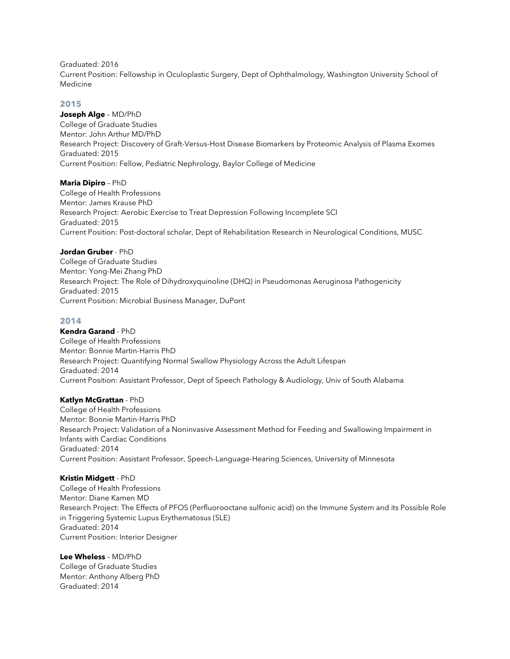Graduated: 2016

Current Position: Fellowship in Oculoplastic Surgery, Dept of Ophthalmology, Washington University School of Medicine

# **2015**

**Joseph Alge** – MD/PhD College of Graduate Studies Mentor: John Arthur MD/PhD Research Project: Discovery of Graft-Versus-Host Disease Biomarkers by Proteomic Analysis of Plasma Exomes Graduated: 2015 Current Position: Fellow, Pediatric Nephrology, Baylor College of Medicine

# **Maria Dipiro** – PhD

College of Health Professions Mentor: James Krause PhD Research Project: Aerobic Exercise to Treat Depression Following Incomplete SCI Graduated: 2015 Current Position: Post-doctoral scholar, Dept of Rehabilitation Research in Neurological Conditions, MUSC

# **Jordan Gruber** - PhD

College of Graduate Studies Mentor: Yong-Mei Zhang PhD Research Project: The Role of Dihydroxyquinoline (DHQ) in Pseudomonas Aeruginosa Pathogenicity Graduated: 2015 Current Position: Microbial Business Manager, DuPont

# **2014**

**Kendra Garand** - PhD College of Health Professions Mentor: Bonnie Martin-Harris PhD Research Project: Quantifying Normal Swallow Physiology Across the Adult Lifespan Graduated: 2014 Current Position: Assistant Professor, Dept of Speech Pathology & Audiology, Univ of South Alabama

### **Katlyn McGrattan** - PhD

College of Health Professions Mentor: Bonnie Martin-Harris PhD Research Project: Validation of a Noninvasive Assessment Method for Feeding and Swallowing Impairment in Infants with Cardiac Conditions Graduated: 2014 Current Position: Assistant Professor, Speech-Language-Hearing Sciences, University of Minnesota

# **Kristin Midgett** - PhD

College of Health Professions Mentor: Diane Kamen MD Research Project: The Effects of PFOS (Perfluorooctane sulfonic acid) on the Immune System and its Possible Role in Triggering Systemic Lupus Erythematosus (SLE) Graduated: 2014 Current Position: Interior Designer

# **Lee Wheless** – MD/PhD

College of Graduate Studies Mentor: Anthony Alberg PhD Graduated: 2014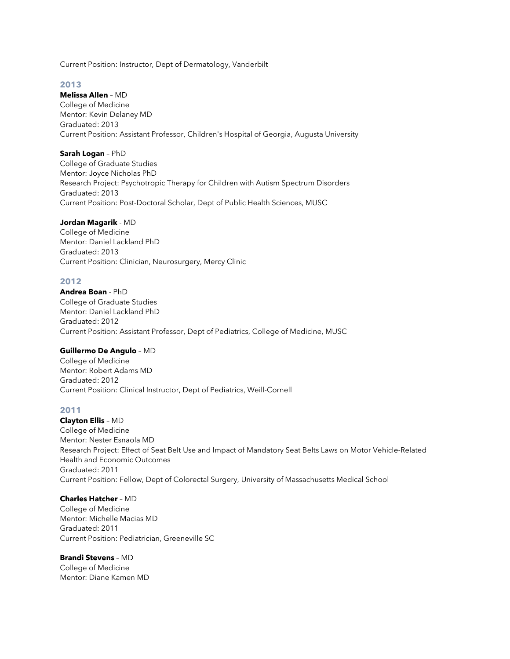Current Position: Instructor, Dept of Dermatology, Vanderbilt

# **2013**

**Melissa Allen** – MD College of Medicine Mentor: Kevin Delaney MD Graduated: 2013 Current Position: Assistant Professor, Children's Hospital of Georgia, Augusta University

### **Sarah Logan** – PhD

College of Graduate Studies Mentor: Joyce Nicholas PhD Research Project: Psychotropic Therapy for Children with Autism Spectrum Disorders Graduated: 2013 Current Position: Post-Doctoral Scholar, Dept of Public Health Sciences, MUSC

### **Jordan Magarik** - MD

College of Medicine Mentor: Daniel Lackland PhD Graduated: 2013 Current Position: Clinician, Neurosurgery, Mercy Clinic

### **2012**

**Andrea Boan** - PhD College of Graduate Studies Mentor: Daniel Lackland PhD Graduated: 2012 Current Position: Assistant Professor, Dept of Pediatrics, College of Medicine, MUSC

# **Guillermo De Angulo** – MD

College of Medicine Mentor: Robert Adams MD Graduated: 2012 Current Position: Clinical Instructor, Dept of Pediatrics, Weill-Cornell

### **2011**

**Clayton Ellis** – MD College of Medicine Mentor: Nester Esnaola MD Research Project: Effect of Seat Belt Use and Impact of Mandatory Seat Belts Laws on Motor Vehicle-Related Health and Economic Outcomes Graduated: 2011 Current Position: Fellow, Dept of Colorectal Surgery, University of Massachusetts Medical School

### **Charles Hatcher** – MD

College of Medicine Mentor: Michelle Macias MD Graduated: 2011 Current Position: Pediatrician, Greeneville SC

### **Brandi Stevens** – MD

College of Medicine Mentor: Diane Kamen MD